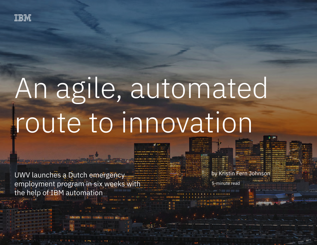

# An agile, automated route to innovation

5-minute read

by Kristin Fern Johnson

UWV launches a Dutch emergency employment program in six weeks with the help of IBM automation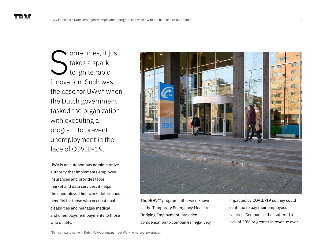**v** ometimes, it just takes a spark to ignite rapid innovation. Such was the case for UWV\* when the Dutch government tasked the organization with executing a program to prevent unemployment in the face of COVID-19. S

UWV is an autonomous administrative authority that implements employee insurances and provides labor market and data services: it helps the unemployed find work, determines benefits for those with occupational disabilities and manages medical and unemployment payments to those who qualify.



The NOW\*\* program, otherwise known as the Temporary Emergency Measure Bridging Employment, provided compensation to companies negatively impacted by COVID-19 so they could continue to pay their employees' salaries. Companies that suffered a loss of 20% or greater in revenue over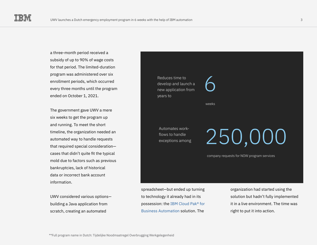a three-month period received a subsidy of up to 90% of wage costs for that period. The limited-duration program was administered over six enrollment periods, which occurred every three months until the program ended on October 1, 2021.

The government gave UWV a mere six weeks to get the program up and running. To meet the short timeline, the organization needed an automated way to handle requests that required special consideration cases that didn't quite fit the typical mold due to factors such as previous bankruptcies, lack of historical data or incorrect bank account information.

UWV considered various options building a Java application from scratch, creating an automated



spreadsheet—but ended up turning to technology it already had in its possession: the [IBM Cloud Pak® for](https://www.ibm.com/cloud/cloud-pak-for-business-automation)  [Business Automation](https://www.ibm.com/cloud/cloud-pak-for-business-automation) solution. The

organization had started using the solution but hadn't fully implemented it in a live environment. The time was right to put it into action.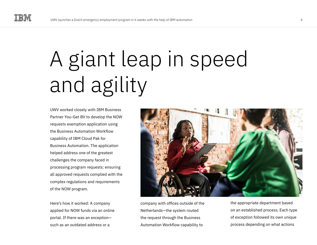## A giant leap in speed and agility

UWV worked closely with IBM Business Partner You-Get BV to develop the NOW requests exemption application using the Business Automation Workflow capability of IBM Cloud Pak for Business Automation. The application helped address one of the greatest challenges the company faced in processing program requests: ensuring all approved requests complied with the complex regulations and requirements of the NOW program.

Here's how it worked: A company applied for NOW funds via an online portal. If there was an exception such as an outdated address or a



company with offices outside of the Netherlands—the system routed the request through the Business Automation Workflow capability to

the appropriate department based on an established process. Each type of exception followed its own unique process depending on what actions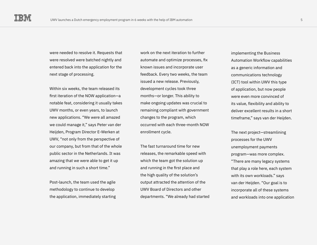were needed to resolve it. Requests that were resolved were batched nightly and entered back into the application for the next stage of processing.

Within six weeks, the team released its first iteration of the NOW application—a notable feat, considering it usually takes UWV months, or even years, to launch new applications. "We were all amazed we could manage it," says Peter van der Heijden, Program Director E-Werken at UWV, "not only from the perspective of our company, but from that of the whole public sector in the Netherlands. It was amazing that we were able to get it up and running in such a short time."

Post-launch, the team used the agile methodology to continue to develop the application, immediately starting

work on the next iteration to further automate and optimize processes, fix known issues and incorporate user feedback. Every two weeks, the team issued a new release. Previously, development cycles took three months—or longer. This ability to make ongoing updates was crucial to remaining compliant with government changes to the program, which occurred with each three-month NOW enrollment cycle.

The fast turnaround time for new releases, the remarkable speed with which the team got the solution up and running in the first place and the high quality of the solution's output attracted the attention of the UWV Board of Directors and other departments. "We already had started implementing the Business Automation Workflow capabilities as a generic information and communications technology (ICT) tool within UWV this type of application, but now people were even more convinced of its value, flexibility and ability to deliver excellent results in a short timeframe," says van der Heijden.

The next project—streamlining processes for the UWV unemployment payments program—was more complex. "There are many legacy systems that play a role here, each system with its own workloads." says van der Heijden. "Our goal is to incorporate all of these systems and workloads into one application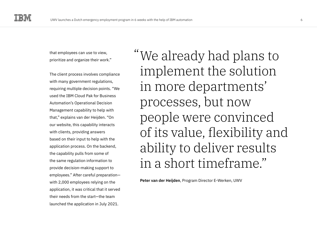that employees can use to view, prioritize and organize their work."

The client process involves compliance with many government regulations, requiring multiple decision points. "We used the IBM Cloud Pak for Business Automation's Operational Decision Management capability to help with that," explains van der Heijden. "On our website, this capability interacts with clients, providing answers based on their input to help with the application process. On the backend, the capability pulls from some of the same regulation information to provide decision-making support to employees." After careful preparation with 2,000 employees relying on the application, it was critical that it served their needs from the start—the team launched the application in July 2021.

We already had plans to " implement the solution in more departments' processes, but now people were convinced of its value, flexibility and ability to deliver results in a short timeframe."

**Peter van der Heijden**, Program Director E-Werken, UWV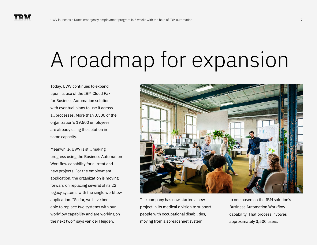### A roadmap for expansion

Today, UWV continues to expand upon its use of the IBM Cloud Pak for Business Automation solution, with eventual plans to use it across all processes. More than 3,500 of the organization's 19,500 employees are already using the solution in some capacity.

Meanwhile, UWV is still making progress using the Business Automation Workflow capability for current and new projects. For the employment application, the organization is moving forward on replacing several of its 22 legacy systems with the single workflow application. "So far, we have been able to replace two systems with our workflow capability and are working on the next two," says van der Heijden.



The company has now started a new project in its medical division to support people with occupational disabilities, moving from a spreadsheet system

to one based on the IBM solution's Business Automation Workflow capability. That process involves approximately 3,500 users.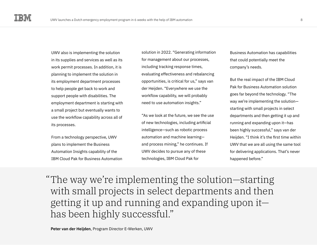UWV also is implementing the solution in its supplies and services as well as its work permit processes. In addition, it is planning to implement the solution in its employment department processes to help people get back to work and support people with disabilities. The employment department is starting with a small project but eventually wants to use the workflow capability across all of its processes.

From a technology perspective, UWV plans to implement the Business Automation Insights capability of the IBM Cloud Pak for Business Automation

solution in 2022. "Generating information for management about our processes, including tracking response times, evaluating effectiveness and rebalancing opportunities, is critical for us," says van der Heijden. "Everywhere we use the workflow capability, we will probably need to use automation insights."

"As we look at the future, we see the use of new technologies, including artificial intelligence—such as robotic process automation and machine learning and process mining," he continues. If UWV decides to pursue any of these technologies, IBM Cloud Pak for

Business Automation has capabilities that could potentially meet the company's needs.

But the real impact of the IBM Cloud Pak for Business Automation solution goes far beyond the technology. "The way we're implementing the solution starting with small projects in select departments and then getting it up and running and expanding upon it—has been highly successful," says van der Heijden. "I think it's the first time within UWV that we are all using the same tool for delivering applications. That's never happened before."

The way we're implementing the solution—starting " with small projects in select departments and then getting it up and running and expanding upon it has been highly successful."